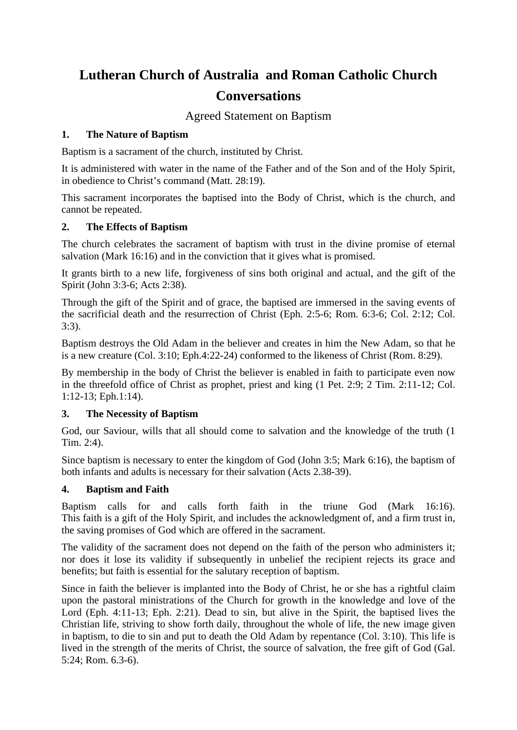# **Lutheran Church of Australia and Roman Catholic Church Conversations**

Agreed Statement on Baptism

## **1. The Nature of Baptism**

Baptism is a sacrament of the church, instituted by Christ.

It is administered with water in the name of the Father and of the Son and of the Holy Spirit, in obedience to Christ's command (Matt. 28:19).

This sacrament incorporates the baptised into the Body of Christ, which is the church, and cannot be repeated.

## **2. The Effects of Baptism**

The church celebrates the sacrament of baptism with trust in the divine promise of eternal salvation (Mark 16:16) and in the conviction that it gives what is promised.

It grants birth to a new life, forgiveness of sins both original and actual, and the gift of the Spirit (John 3:3-6; Acts 2:38).

Through the gift of the Spirit and of grace, the baptised are immersed in the saving events of the sacrificial death and the resurrection of Christ (Eph. 2:5-6; Rom. 6:3-6; Col. 2:12; Col. 3:3).

Baptism destroys the Old Adam in the believer and creates in him the New Adam, so that he is a new creature (Col. 3:10; Eph.4:22-24) conformed to the likeness of Christ (Rom. 8:29).

By membership in the body of Christ the believer is enabled in faith to participate even now in the threefold office of Christ as prophet, priest and king (1 Pet. 2:9; 2 Tim. 2:11-12; Col. 1:12-13; Eph.1:14).

## **3. The Necessity of Baptism**

God, our Saviour, wills that all should come to salvation and the knowledge of the truth (1 Tim. 2:4).

Since baptism is necessary to enter the kingdom of God (John 3:5; Mark 6:16), the baptism of both infants and adults is necessary for their salvation (Acts 2.38-39).

### **4. Baptism and Faith**

Baptism calls for and calls forth faith in the triune God (Mark 16:16). This faith is a gift of the Holy Spirit, and includes the acknowledgment of, and a firm trust in, the saving promises of God which are offered in the sacrament.

The validity of the sacrament does not depend on the faith of the person who administers it; nor does it lose its validity if subsequently in unbelief the recipient rejects its grace and benefits; but faith is essential for the salutary reception of baptism.

Since in faith the believer is implanted into the Body of Christ, he or she has a rightful claim upon the pastoral ministrations of the Church for growth in the knowledge and love of the Lord (Eph. 4:11-13; Eph. 2:21). Dead to sin, but alive in the Spirit, the baptised lives the Christian life, striving to show forth daily, throughout the whole of life, the new image given in baptism, to die to sin and put to death the Old Adam by repentance (Col. 3:10). This life is lived in the strength of the merits of Christ, the source of salvation, the free gift of God (Gal. 5:24; Rom. 6.3-6).